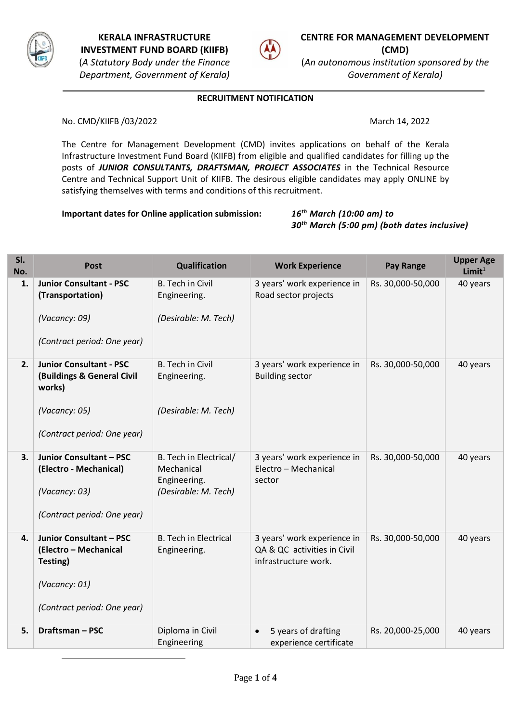

1



**CENTRE FOR MANAGEMENT DEVELOPMENT (CMD)** (*An autonomous institution sponsored by the* 

*Government of Kerala)*

### **RECRUITMENT NOTIFICATION**

No. CMD/KIIFB /03/2022 March 14, 2022

The Centre for Management Development (CMD) invites applications on behalf of the Kerala Infrastructure Investment Fund Board (KIIFB) from eligible and qualified candidates for filling up the posts of *JUNIOR CONSULTANTS, DRAFTSMAN, PROJECT ASSOCIATES* in the Technical Resource Centre and Technical Support Unit of KIIFB. The desirous eligible candidates may apply ONLINE by satisfying themselves with terms and conditions of this recruitment.

**Important dates for Online application submission:** *16th March (10:00 am) to* 

*30th March (5:00 pm) (both dates inclusive)*

| SI.<br>No. | <b>Post</b>                                                                                                            | Qualification                                                                | <b>Work Experience</b>                                                             | <b>Pay Range</b>  | <b>Upper Age</b><br>Limit <sup>1</sup> |
|------------|------------------------------------------------------------------------------------------------------------------------|------------------------------------------------------------------------------|------------------------------------------------------------------------------------|-------------------|----------------------------------------|
| 1.         | <b>Junior Consultant - PSC</b><br>(Transportation)<br>(Vacancy: 09)<br>(Contract period: One year)                     | <b>B.</b> Tech in Civil<br>Engineering.<br>(Desirable: M. Tech)              | 3 years' work experience in<br>Road sector projects                                | Rs. 30,000-50,000 | 40 years                               |
| 2.         | <b>Junior Consultant - PSC</b><br>(Buildings & General Civil<br>works)<br>(Vacancy: 05)<br>(Contract period: One year) | <b>B.</b> Tech in Civil<br>Engineering.<br>(Desirable: M. Tech)              | 3 years' work experience in<br><b>Building sector</b>                              | Rs. 30,000-50,000 | 40 years                               |
| 3.         | <b>Junior Consultant - PSC</b><br>(Electro - Mechanical)<br>(Vacancy: 03)<br>(Contract period: One year)               | B. Tech in Electrical/<br>Mechanical<br>Engineering.<br>(Desirable: M. Tech) | 3 years' work experience in<br>Electro - Mechanical<br>sector                      | Rs. 30,000-50,000 | 40 years                               |
| 4.         | <b>Junior Consultant - PSC</b><br>(Electro - Mechanical<br>Testing)<br>(Vacancy: 01)<br>(Contract period: One year)    | <b>B. Tech in Electrical</b><br>Engineering.                                 | 3 years' work experience in<br>QA & QC activities in Civil<br>infrastructure work. | Rs. 30,000-50,000 | 40 years                               |
| 5.         | Draftsman-PSC                                                                                                          | Diploma in Civil<br>Engineering                                              | 5 years of drafting<br>$\bullet$<br>experience certificate                         | Rs. 20,000-25,000 | 40 years                               |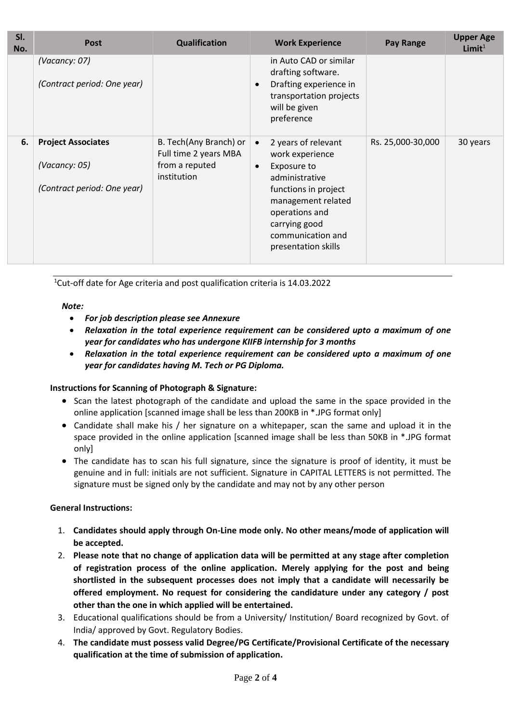| SI.<br>No. | <b>Post</b>                                                               | <b>Qualification</b>                                                             | <b>Work Experience</b>                                                                                                                                                                                                         | <b>Pay Range</b>  | <b>Upper Age</b><br>Limit <sup>1</sup> |
|------------|---------------------------------------------------------------------------|----------------------------------------------------------------------------------|--------------------------------------------------------------------------------------------------------------------------------------------------------------------------------------------------------------------------------|-------------------|----------------------------------------|
|            | (Vacancy: 07)<br>(Contract period: One year)                              |                                                                                  | in Auto CAD or similar<br>drafting software.<br>Drafting experience in<br>$\bullet$<br>transportation projects<br>will be given<br>preference                                                                                  |                   |                                        |
| 6.         | <b>Project Associates</b><br>(Vacancy: 05)<br>(Contract period: One year) | B. Tech(Any Branch) or<br>Full time 2 years MBA<br>from a reputed<br>institution | 2 years of relevant<br>$\bullet$<br>work experience<br>Exposure to<br>$\bullet$<br>administrative<br>functions in project<br>management related<br>operations and<br>carrying good<br>communication and<br>presentation skills | Rs. 25,000-30,000 | 30 years                               |

<sup>1</sup>Cut-off date for Age criteria and post qualification criteria is 14.03.2022

## *Note:*

- *For job description please see Annexure*
- *Relaxation in the total experience requirement can be considered upto a maximum of one year for candidates who has undergone KIIFB internship for 3 months*
- *Relaxation in the total experience requirement can be considered upto a maximum of one year for candidates having M. Tech or PG Diploma.*

## **Instructions for Scanning of Photograph & Signature:**

- Scan the latest photograph of the candidate and upload the same in the space provided in the online application [scanned image shall be less than 200KB in \*.JPG format only]
- Candidate shall make his / her signature on a whitepaper, scan the same and upload it in the space provided in the online application [scanned image shall be less than 50KB in \*.JPG format only]
- The candidate has to scan his full signature, since the signature is proof of identity, it must be genuine and in full: initials are not sufficient. Signature in CAPITAL LETTERS is not permitted. The signature must be signed only by the candidate and may not by any other person

## **General Instructions:**

- 1. **Candidates should apply through On-Line mode only. No other means/mode of application will be accepted.**
- 2. **Please note that no change of application data will be permitted at any stage after completion of registration process of the online application. Merely applying for the post and being shortlisted in the subsequent processes does not imply that a candidate will necessarily be offered employment. No request for considering the candidature under any category / post other than the one in which applied will be entertained.**
- 3. Educational qualifications should be from a University/ Institution/ Board recognized by Govt. of India/ approved by Govt. Regulatory Bodies.
- 4. **The candidate must possess valid Degree/PG Certificate/Provisional Certificate of the necessary qualification at the time of submission of application.**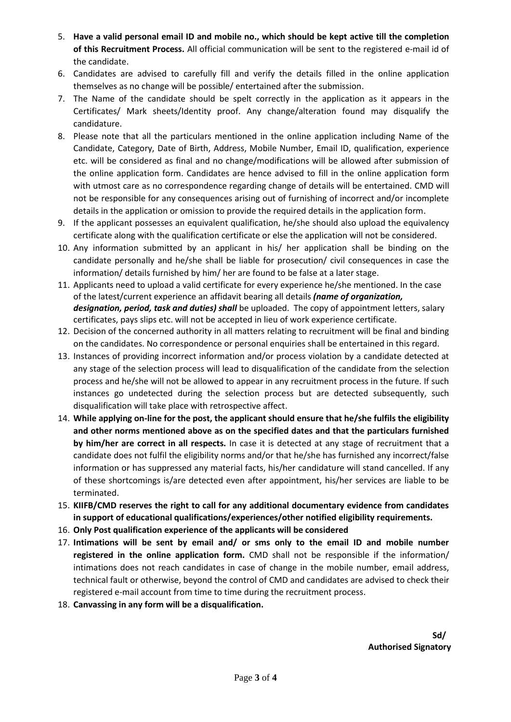- 5. **Have a valid personal email ID and mobile no., which should be kept active till the completion of this Recruitment Process.** All official communication will be sent to the registered e-mail id of the candidate.
- 6. Candidates are advised to carefully fill and verify the details filled in the online application themselves as no change will be possible/ entertained after the submission.
- 7. The Name of the candidate should be spelt correctly in the application as it appears in the Certificates/ Mark sheets/Identity proof. Any change/alteration found may disqualify the candidature.
- 8. Please note that all the particulars mentioned in the online application including Name of the Candidate, Category, Date of Birth, Address, Mobile Number, Email ID, qualification, experience etc. will be considered as final and no change/modifications will be allowed after submission of the online application form. Candidates are hence advised to fill in the online application form with utmost care as no correspondence regarding change of details will be entertained. CMD will not be responsible for any consequences arising out of furnishing of incorrect and/or incomplete details in the application or omission to provide the required details in the application form.
- 9. If the applicant possesses an equivalent qualification, he/she should also upload the equivalency certificate along with the qualification certificate or else the application will not be considered.
- 10. Any information submitted by an applicant in his/ her application shall be binding on the candidate personally and he/she shall be liable for prosecution/ civil consequences in case the information/ details furnished by him/ her are found to be false at a later stage.
- 11. Applicants need to upload a valid certificate for every experience he/she mentioned. In the case of the latest/current experience an affidavit bearing all details *(name of organization,*  designation, period, task and duties) shall be uploaded. The copy of appointment letters, salary certificates, pays slips etc. will not be accepted in lieu of work experience certificate.
- 12. Decision of the concerned authority in all matters relating to recruitment will be final and binding on the candidates. No correspondence or personal enquiries shall be entertained in this regard.
- 13. Instances of providing incorrect information and/or process violation by a candidate detected at any stage of the selection process will lead to disqualification of the candidate from the selection process and he/she will not be allowed to appear in any recruitment process in the future. If such instances go undetected during the selection process but are detected subsequently, such disqualification will take place with retrospective affect.
- 14. **While applying on-line for the post, the applicant should ensure that he/she fulfils the eligibility and other norms mentioned above as on the specified dates and that the particulars furnished by him/her are correct in all respects.** In case it is detected at any stage of recruitment that a candidate does not fulfil the eligibility norms and/or that he/she has furnished any incorrect/false information or has suppressed any material facts, his/her candidature will stand cancelled. If any of these shortcomings is/are detected even after appointment, his/her services are liable to be terminated.
- 15. **KIIFB/CMD reserves the right to call for any additional documentary evidence from candidates in support of educational qualifications/experiences/other notified eligibility requirements.**
- 16. **Only Post qualification experience of the applicants will be considered**
- 17. **Intimations will be sent by email and/ or sms only to the email ID and mobile number registered in the online application form.** CMD shall not be responsible if the information/ intimations does not reach candidates in case of change in the mobile number, email address, technical fault or otherwise, beyond the control of CMD and candidates are advised to check their registered e-mail account from time to time during the recruitment process.
- 18. **Canvassing in any form will be a disqualification.**